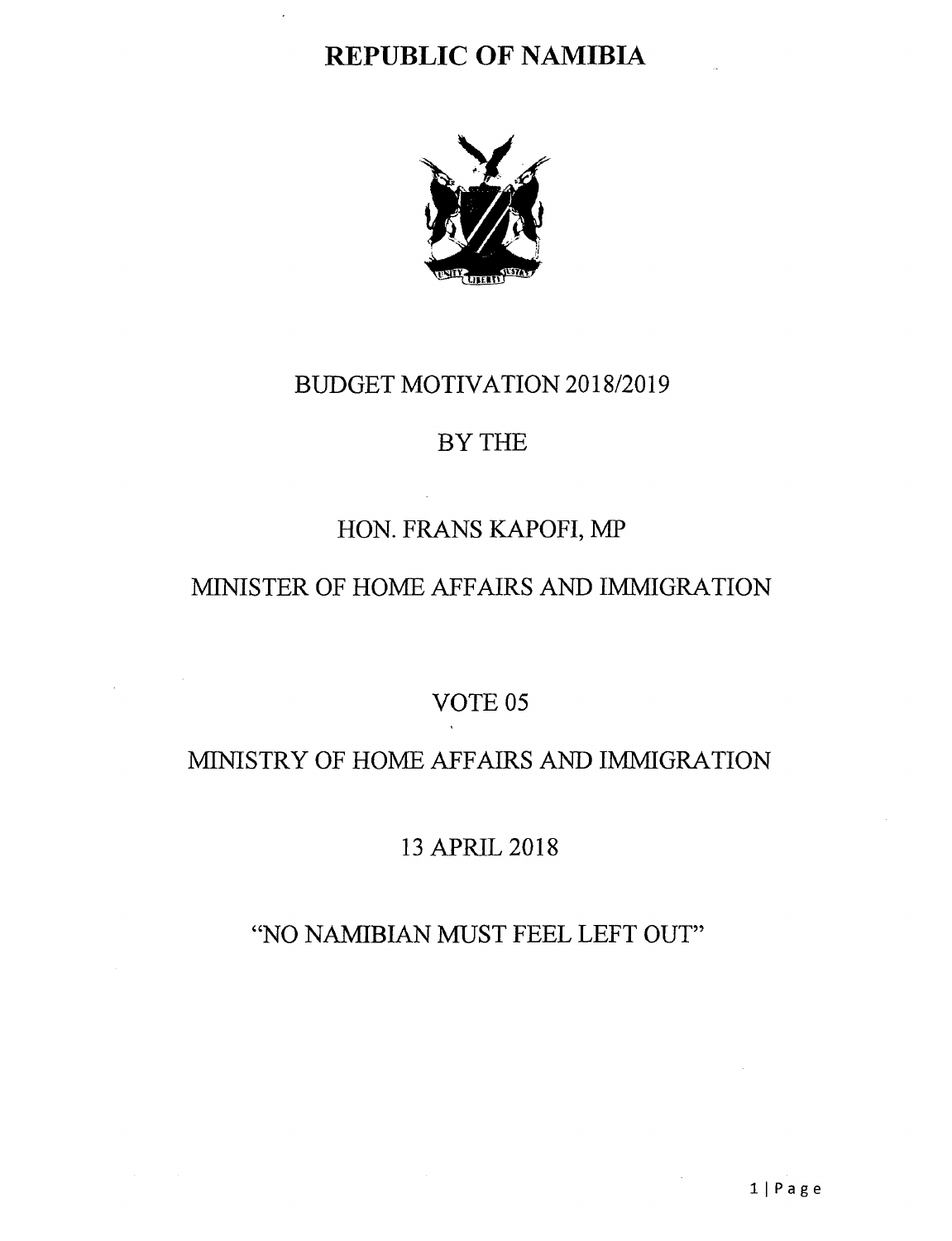# **REPUBLIC OF NAMIBIA**



### BUDGET MOTIVATION *2018/2019*

### BY THE

# HON. FRANS KAPOFI, MP

# MINISTER OF HOME AFFAIRS AND IMMIGRATION

# VOTE 05

# MINISTRY OF HOME AFFAIRS AND IMMIGRATION

# 13 APRIL 2018

# "NO NAMIBIAN MUST FEEL LEFT OUT"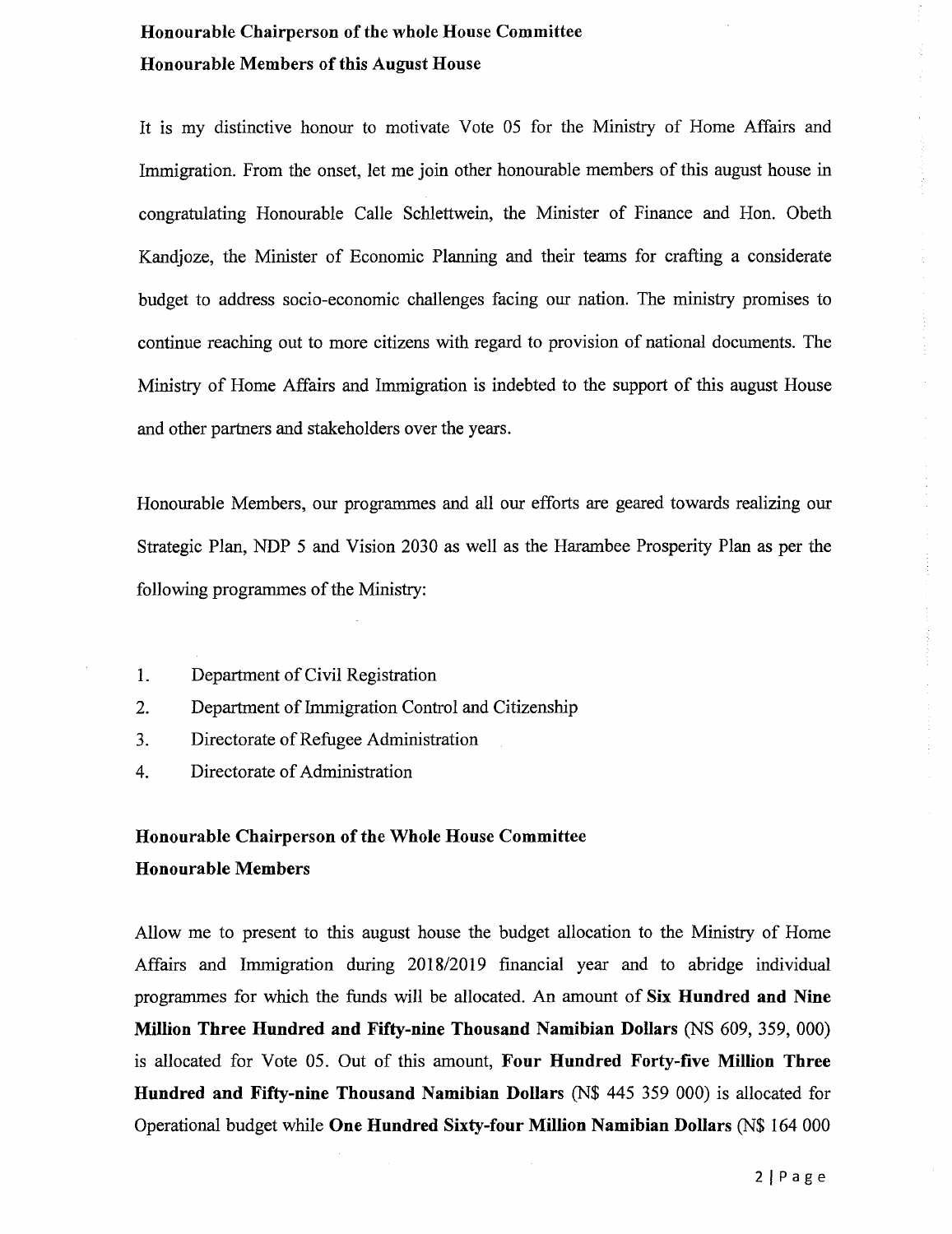### Honourable Chairperson of the whole House Committee Honourable Members of this August House

It is my distinctive honour to motivate Vote 05 for the Ministry of Home Affairs and Immigration. From the onset, let me join other honourable members of this august house in congratulating Honourable Calle Schlettwein, the Minister of Finance and Hon. Obeth Kandjoze, the Minister of Economic Planning and their teams for crafting a considerate budget to address socio-economic challenges facing our nation. The ministry promises to continue reaching out to more citizens with regard to provision of national documents. The Ministry of Home Affairs and Immigration is indebted to the support of this august House and other partners and stakeholders over the years.

Honourable Members, our programmes and all our efforts are geared towards realizing our Strategic Plan, NDP 5 and Vision 2030 as well as the Harambee Prosperity Plan as per the following programmes of the Ministry:

- 1. Department of Civil Registration
- 2. Department of Immigration Control and Citizenship
- 3. Directorate of Refugee Administration
- 4. Directorate of Administration

### Honourable Chairperson of the Whole House Committee Honourable Members

Allow me to present to this august house the budget allocation to the Ministry of Home Affairs and Immigration during 2018/2019 financial year and to abridge individual programmes for which the funds will be allocated. An amount of Six Hundred and Nine Million Three Hundred and Fifty-nine Thousand Namibian Dollars (NS 609, 359, 000) is allocated for Vote 05. Out of this amount, Four Hundred Forty-five Million Three Hundred and Fifty-nine Thousand Namibian Dollars (N\$ 445 359 000) is allocated for Operational budget while One Hundred Sixty-four Million Namibian Dollars (N\$ 164000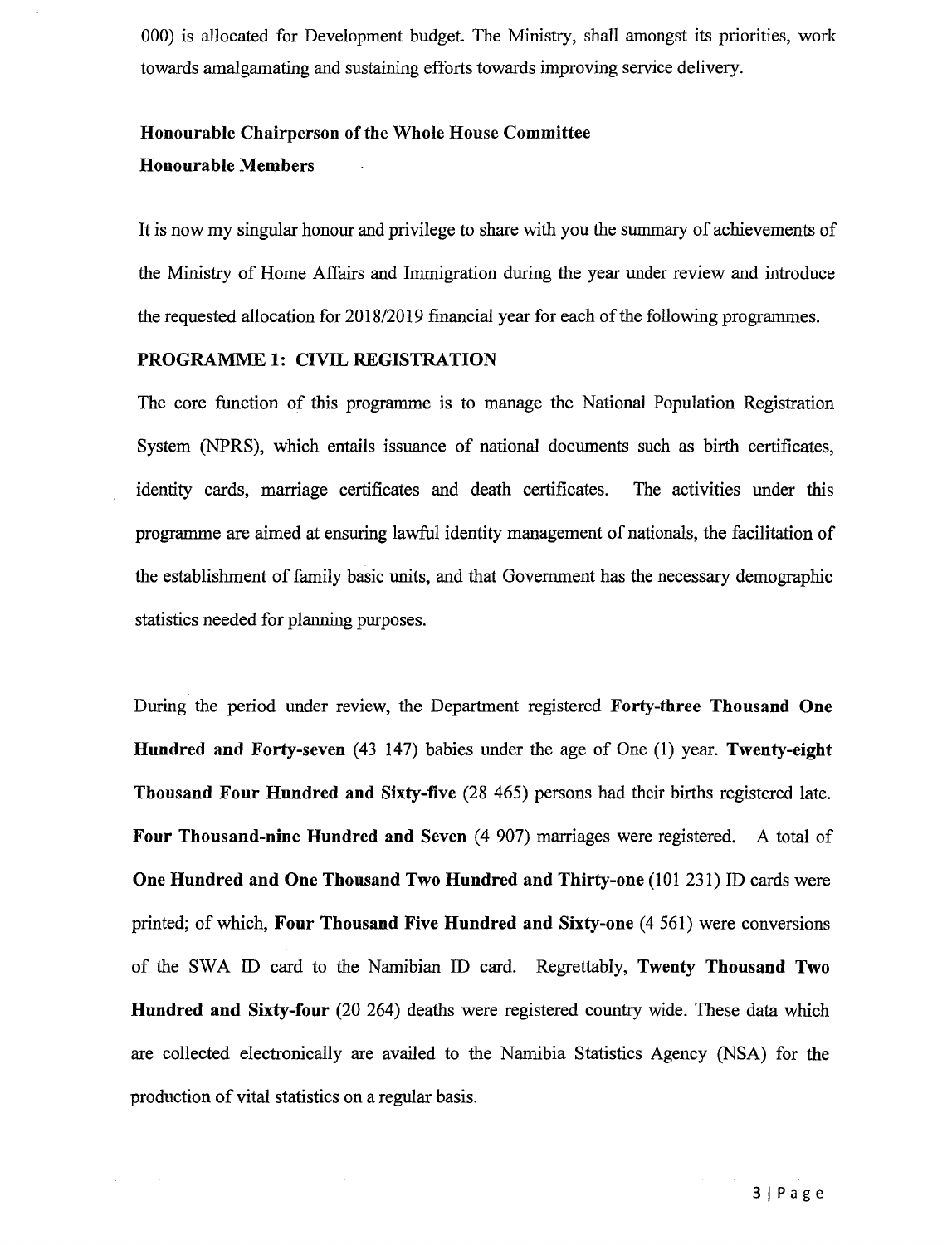000) is allocated for Development budget. The Ministry, shall amongst its priorities, work towards amalgamating and sustaining efforts towards improving service delivery.

### Honourable Chairperson of the Whole House Committee Honourable Members

It is now my singular honour and privilege to share with you the summaryof achievements of the Ministry of Home Affairs and Immigration during the year under review and introduce the requested allocation for 2018/2019 financial year for each of the following programmes.

#### PROGRAMME 1: CIVIL REGISTRATION

L.

The core function of this programme is to manage the National Population Registration System (NPRS), which entails issuance of national documents such as birth certificates, identity cards, marriage certificates and death certificates. The activities under this programme are aimed at ensuring lawful identity management of nationals, the facilitation of the establishment of family basic units, and that Government has the necessary demographic statistics needed for planning purposes.

During the period under review, the Department registered Forty-three Thousand One Hundred and Forty-seven (43 147) babies under the age of One (1) year. Twenty-eight Thousand Four Hundred and Sixty-five (28 465) persons had their births registered late. Four Thousand-nine Hundred and Seven (4 907) marriages were registered. A total of One Hundred and One Thousand Two Hundred and Thirty-one (101 231) ID cards were printed; of which, Four Thousand Five Hundred and Sixty-one (4 561) were conversions of the SWA ID card to the Namibian ID card. Regrettably, Twenty Thousand Two Hundred and Sixty-four (20 264) deaths were registered country wide. These data which are collected electronically are availed to the Namibia Statistics Agency (NSA) for the production of vital statistics on a regular basis.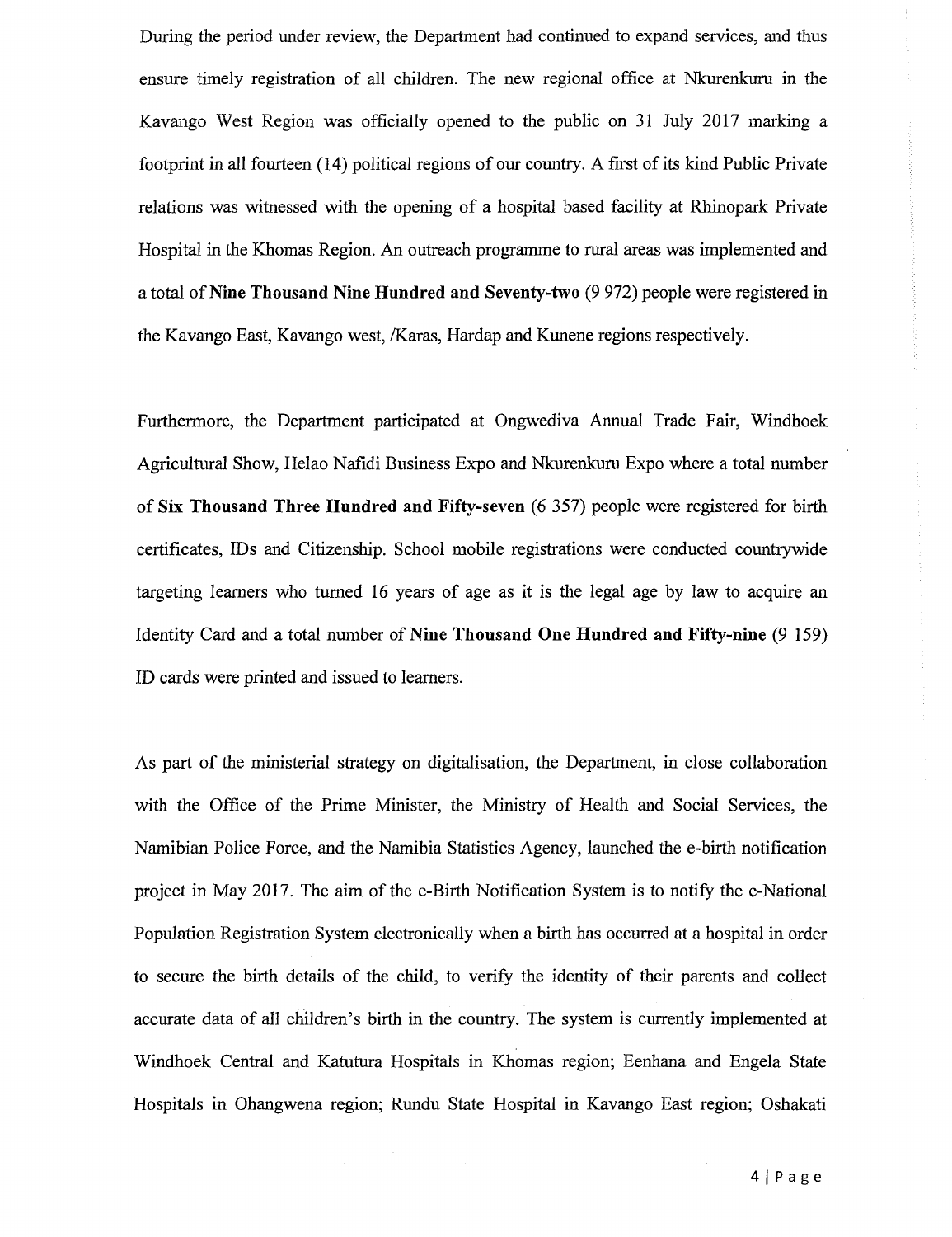During the period under review, the Department had continued to expand services, and thus ensure timely registration of all children. The new regional office at Nkurenkuru in the Kavango West Region was officially opened to the public on 31 July 2017 marking a footprint in all fourteen (14) political regions of our country. A first of its kind Public Private relations was witnessed with the opening of a hospital based facility at Rhinopark Private Hospital in the Khomas Region. An outreach programme to rural areas was implemented and a total of Nine Thousand Nine Hundred and Seventy-two (9 972) people were registered in the Kavango East, Kavango west, /Karas, Hardap and Kunene regions respectively.

Furthermore, the Department participated at Ongwediva Annual Trade Fair, Windhoek Agricultural Show, Helao Nafidi Business Expo and Nkurenkuru Expo where a total number of Six Thousand Three Hundred and Fifty-seven (6 357) people were registered for birth certificates, IDs and Citizenship. School mobile registrations were conducted countrywide targeting learners who turned 16 years of age as it is the legal age by law to acquire an Identity Card and a total number of Nine Thousand One Hundred and Fifty-nine (9 159) ID cards were printed and issued to learners.

As part of the ministerial strategy on digitalisation, the Department, in close collaboration with the Office of the Prime Minister, the Ministry of Health and Social Services, the Namibian Police Force, and the Namibia Statistics Agency, launched the e-birth notification project in May 2017. The aim of the e-Birth Notification System is to notify the e-National Population Registration System electronically when a birth has occurred at a hospital in order to secure the birth details of the child, to verify the identity of their parents and collect accurate data of all children's birth in the country. The system is currently implemented at Windhoek Central and Katutura Hospitals in Khomas region; Eenhana and Engela State Hospitals in Ohangwena region; Rundu State Hospital in Kavango East region; Oshakati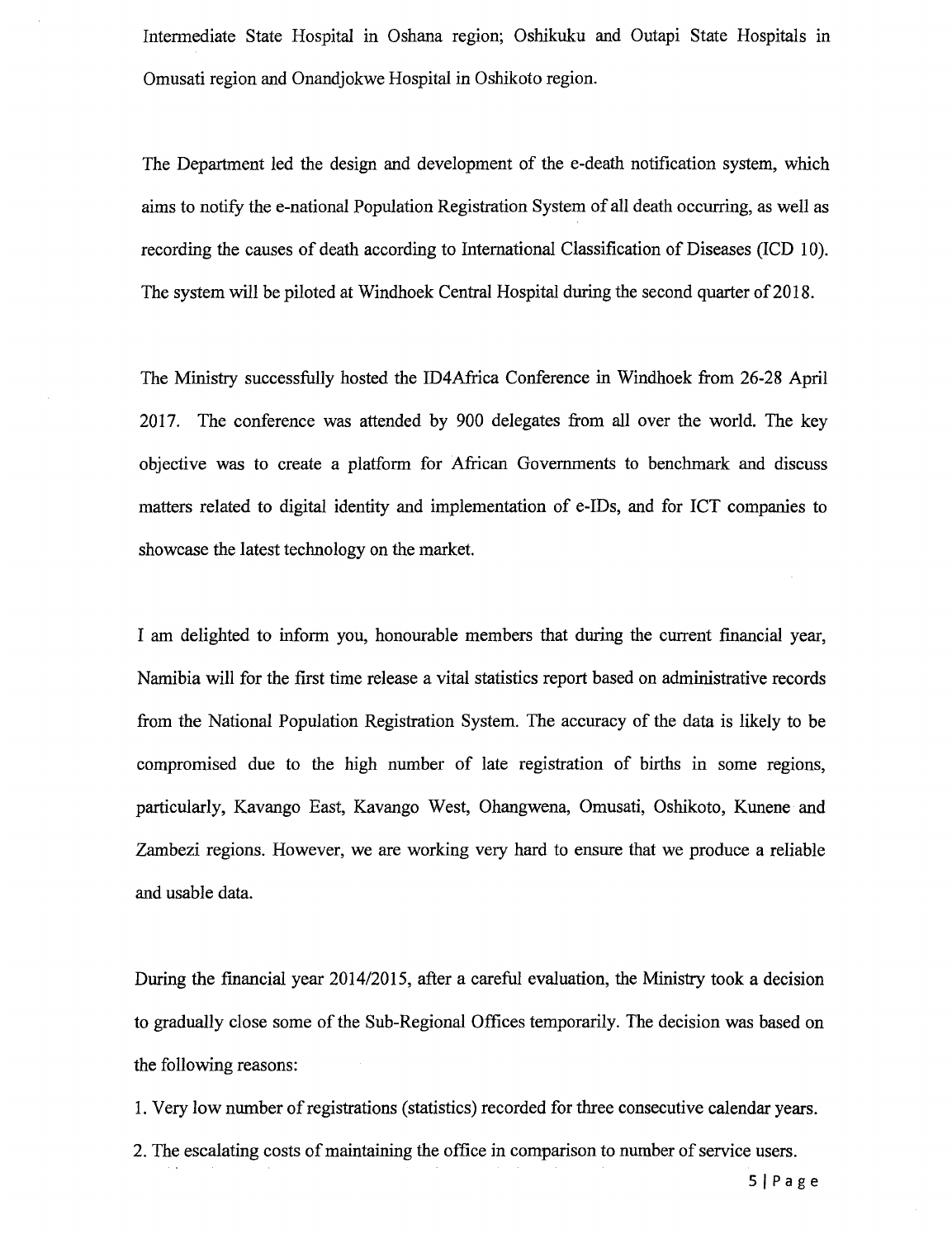Intermediate State Hospital in Oshana region; Oshikuku and Outapi State Hospitals in Omusati region and Onandjokwe Hospital in Oshikoto region.

The Department led the design and development of the e-death notification system, which aims to notify the e-national Population Registration System of all death occurring, as well as recording the causes of death according to International Classification of Diseases (lCD 10). The system will be piloted at Windhoek Central Hospital during the second quarter of 2018.

The Ministry successfully hosted the ID4Africa Conference in Windhoek from 26-28 April 2017. The conference was attended by 900 delegates from all over the world. The key objective was to create a platform for African Governments to benchmark and discuss matters related to digital identity and implementation of e-IDs, and for ICT companies to showcase the latest technology on the market.

I am delighted to inform you, honourable members that during the current fmancial year, Namibia will for the first time release a vital statistics report based on administrative records from the National Population Registration System. The accuracy of the data is likely to be compromised due to the high number of late registration of births in some regions, particularly, Kavango East, Kavango West, Ohangwena, Omusati, Oshikoto, Kunene and Zambezi regions. However, we are working very hard to ensure that we produce a reliable and usable data.

During the financial year *2014/2015,* after a careful evaluation, the Ministry took a decision to gradually close some of the Sub-Regional Offices temporarily. The decision was based on the following reasons:

1. Very low number of registrations (statistics) recorded for three consecutive calendar years.

2. The escalating costs of maintaining the office in comparison to number of service users.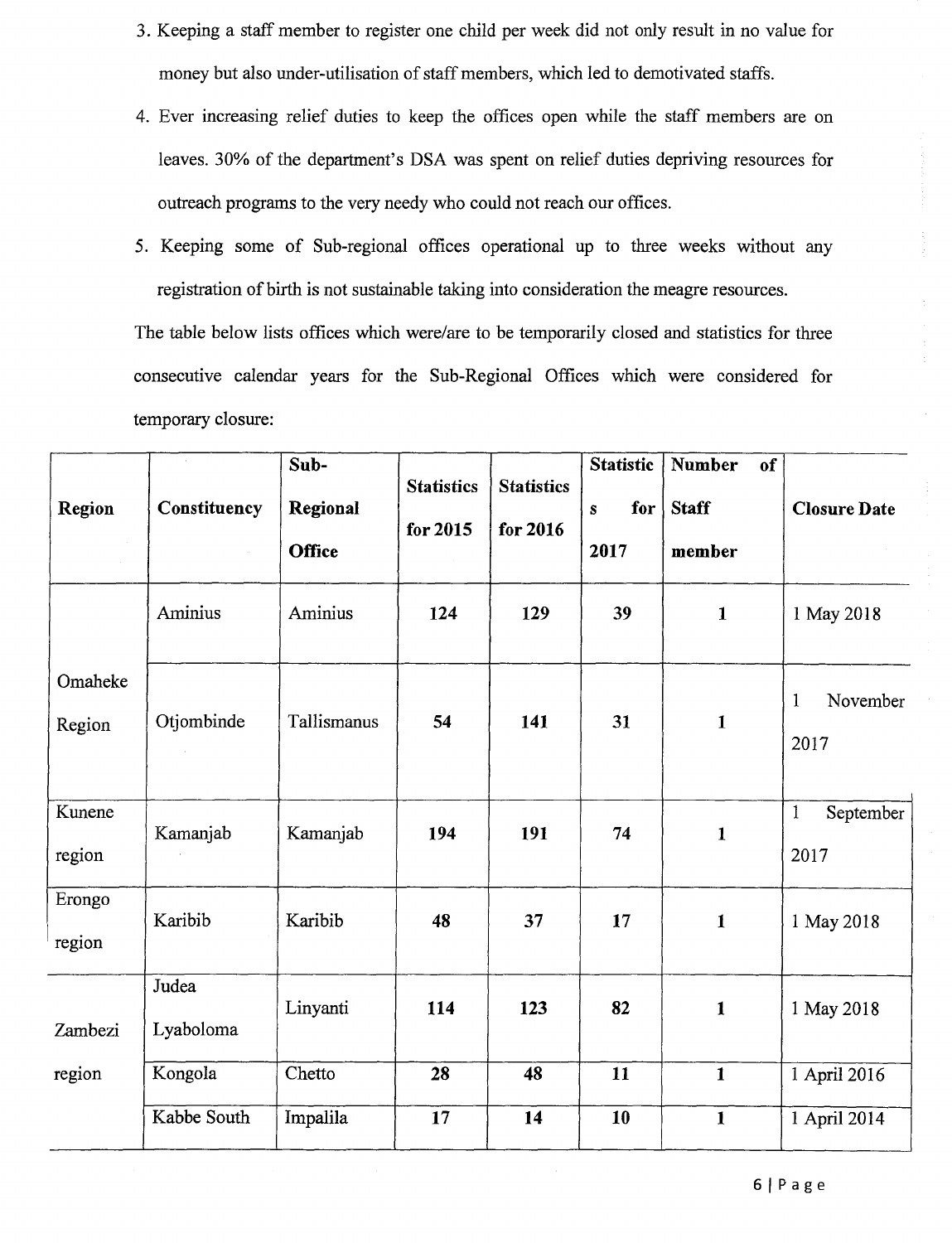- 3. Keeping a staff member to register one child per week did not only result in no value for money but also under-utilisation of staff members, which led to demotivated staffs.
- 4. Ever increasing relief duties to keep the offices open while the staff members are on leaves. 30% of the department's DSA was spent on relief duties depriving resources for outreach programs to the very needy who could not reach our offices.
- 5. Keeping some of Sub-regional offices operational up to three weeks without any registration of birth is not sustainable taking into consideration the meagre resources.

The table below lists offices which were/are to be temporarily closed and statistics for three consecutive calendar years for the Sub-Regional Offices which were considered for temporary closure:

| <b>Region</b>     | Constituency       | Sub-<br>Regional<br><b>Office</b> | <b>Statistics</b><br>for 2015 | <b>Statistics</b><br>for 2016 | <b>Statistic</b><br>for<br>$\mathbf{s}$<br>2017 | <b>Number</b><br>of<br><b>Staff</b><br>member | <b>Closure Date</b>               |
|-------------------|--------------------|-----------------------------------|-------------------------------|-------------------------------|-------------------------------------------------|-----------------------------------------------|-----------------------------------|
|                   | Aminius            | Aminius                           | 124                           | 129                           | 39                                              | $\mathbf{1}$                                  | 1 May 2018                        |
| Omaheke<br>Region | Otjombinde         | Tallismanus                       | 54                            | 141                           | 31                                              | $\mathbf{1}$                                  | November<br>$\mathbf{1}$<br>2017  |
| Kunene<br>region  | Kamanjab           | Kamanjab                          | 194                           | 191                           | 74                                              | $\mathbf{1}$                                  | $\mathbf{1}$<br>September<br>2017 |
| Erongo<br>region  | Karibib            | Karibib                           | 48                            | 37                            | 17                                              | $\mathbf{1}$                                  | 1 May 2018                        |
| Zambezi           | Judea<br>Lyaboloma | Linyanti                          | 114                           | 123                           | 82                                              | $\mathbf{1}$                                  | 1 May 2018                        |
| region            | Kongola            | Chetto                            | 28                            | 48                            | 11                                              | $\mathbf{1}$                                  | 1 April 2016                      |
|                   | Kabbe South        | Impalila                          | 17                            | 14                            | 10                                              | $\mathbf{1}$                                  | 1 April 2014                      |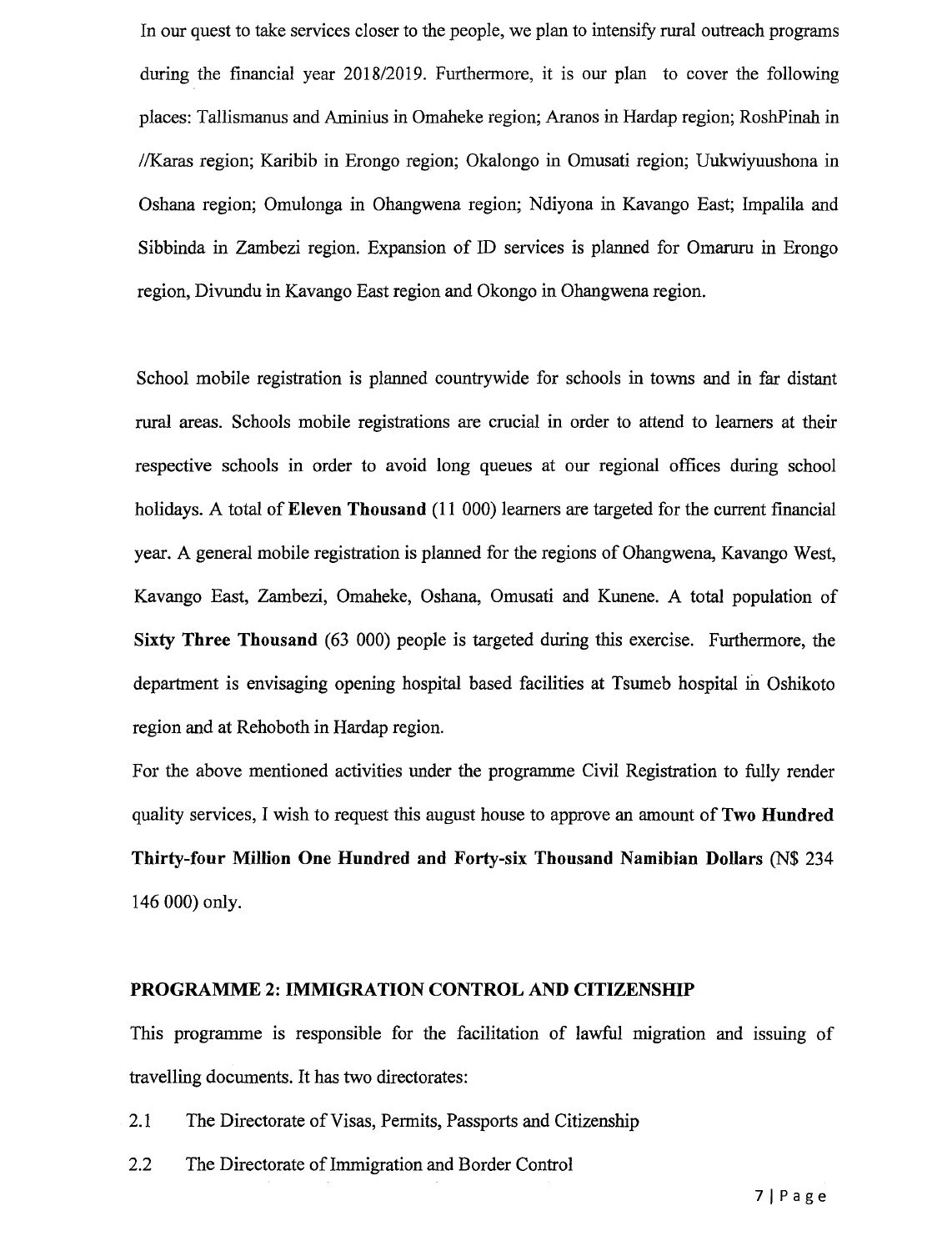In our quest to take services closer to the people, we plan to intensify rural outreach programs during the financial year *2018/2019.* Furthermore, it is our plan to cover the following places: Tallismanus and Aminius in Omaheke region; Aranos in Hardap region; RoshPinah in //Karas region; Karibib in Erongo region; Okalongo in Omusati region; Uukwiyuushona in Oshana region; Omulonga in Ohangwena region; Ndiyona in Kavango East; Impalila and Sibbinda in Zambezi region. Expansion of ID services is planned for Omaruru in Erongo region, Divundu in Kavango East region and Okongo in Ohangwena region.

School mobile registration is planned countrywide for schools in towns and in far distant rural areas. Schools mobile registrations are crucial in order to attend to learners at their respective schools in order to avoid long queues at our regional offices during school holidays. A total of Eleven Thousand (11 000) learners are targeted for the current financial year. A general mobile registration is planned for the regions of Ohangwena, Kavango West, Kavango East, Zambezi, Omaheke, Oshana, Omusati and Kunene. A total population of Sixty Three Thousand (63 000) people is targeted during this exercise. Furthermore, the department is envisaging opening hospital based facilities at Tsumeb hospital in Oshikoto region and at Rehoboth in Hardap region.

For the above mentioned activities under the programme Civil Registration to fully render quality services, I wish to request this august house to approve an amount of Two Hundred Thirty-four Million One Hundred and Forty-six Thousand Namibian Dollars (N\$ 234 146000) only.

#### PROGRAMME 2: IMMIGRATION CONTROL AND CITIZENSHIP

This programme is responsible for the facilitation of lawful migration and issuing of travelling documents. It has two directorates:

- 2.1 The Directorate of Visas, Permits, Passports and Citizenship
- 2.2 The Directorate of Immigration and Border Control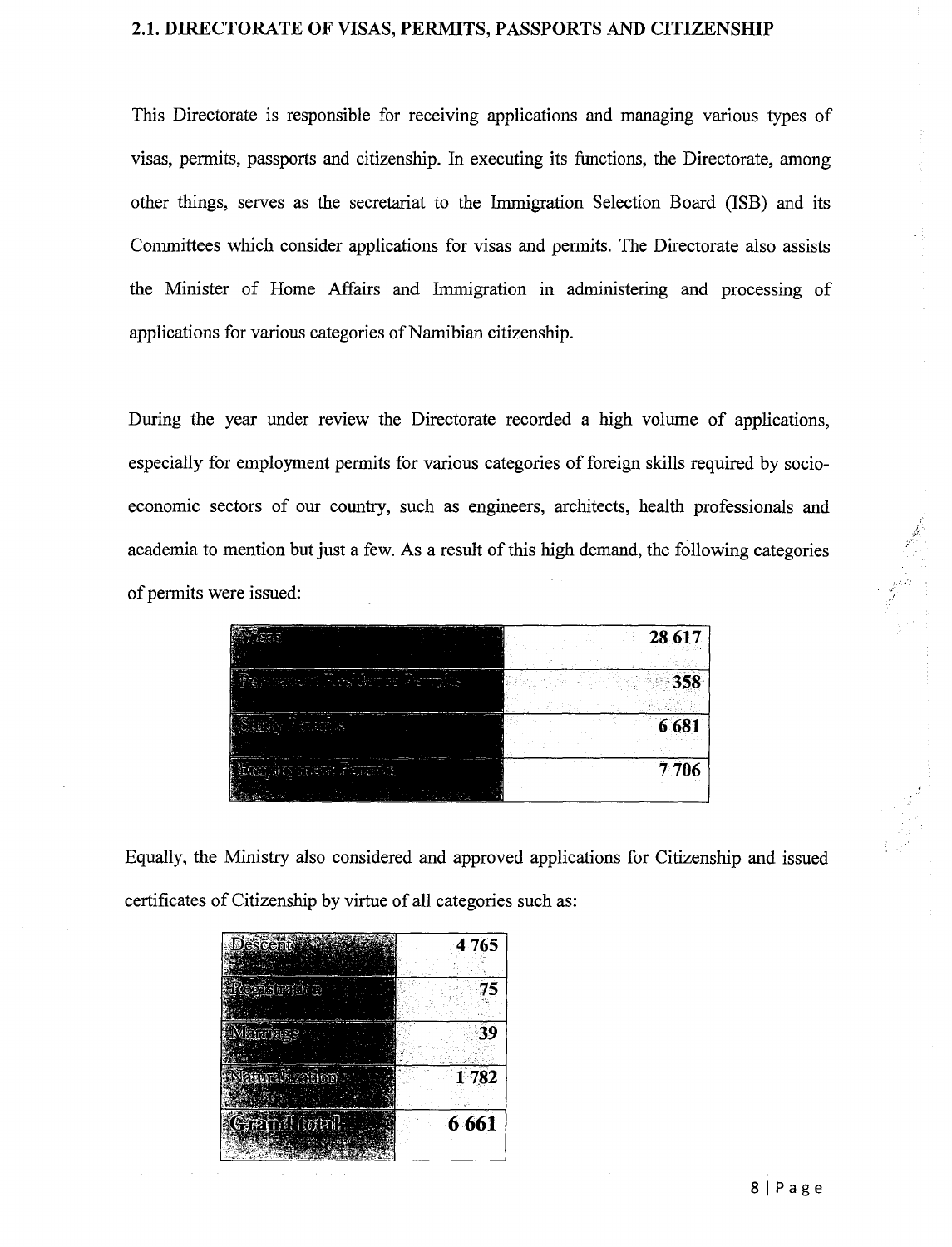#### **2.1. DIRECTORATE OF** VISAS, **PERMITS, PASSPORTS AND CITIZENSHIP**

This Directorate is responsible for receiving applications and managing various types of visas, permits, passports and citizenship. In executing its functions, the Directorate, among other things, serves as the secretariat to the Immigration Selection Board (ISB) and its Committees which consider applications for visas and permits. The Directorate also assists the Minister of Home Affairs and Immigration in administering and processing of applications for various categories of Namibian citizenship.

During the year under review the Directorate recorded a high volume of applications, especially for employment permits for various categories of foreign skills required by socioeconomic sectors of our country, such as engineers, architects, health professionals and academia to mention but just a few. As a result of this high demand, the following categories of permits were issued:

|                              | 28 617  |
|------------------------------|---------|
| محصي جازير<br>í,<br>$\cdots$ |         |
|                              | 6 681   |
| بمصدحته                      | 7 7 0 6 |

Equally, the Ministry also considered and approved applications for Citizenship and issued certificates of Citizenship by virtue of all categories such as:

| Descentilization | 4765    |
|------------------|---------|
| terisondica      | 75      |
| Mandage          | 39      |
| Natural zation   | 1782    |
| Grand total      | 6 6 6 1 |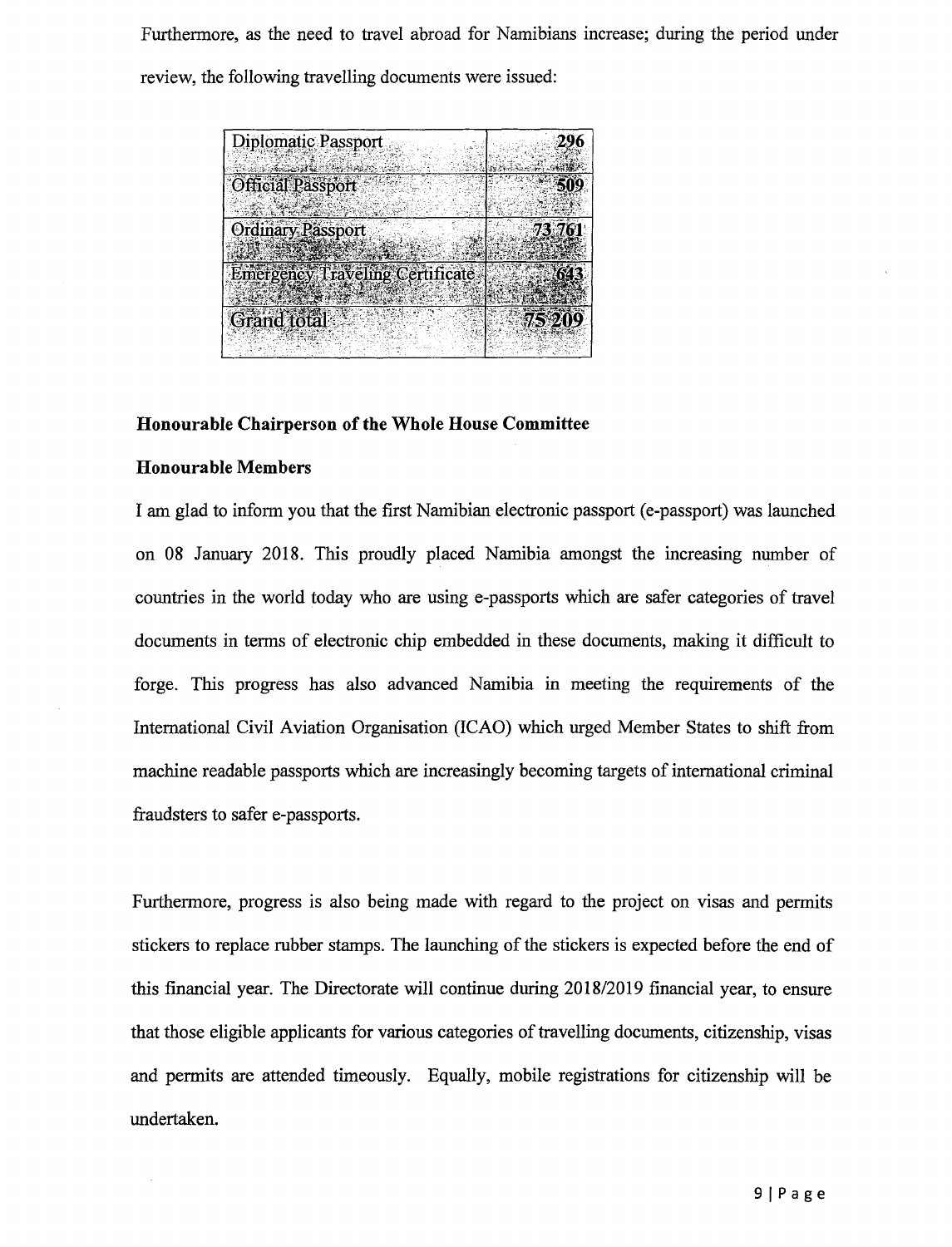Furthermore, as the need to travel abroad for Namibians increase; during the period under review, the following travelling documents were issued:

| <b>Diplomatic Passport</b>             | 296    |
|----------------------------------------|--------|
| Official Passport                      |        |
| <b>Ordinary Passport</b>               | 73,761 |
| <b>Emergency Traveling Certificate</b> | 643    |
|                                        | 75 209 |
| <b>Grand</b> total                     |        |

#### **Honourable Chairperson of the Whole House Committee**

#### **Honourable Members**

l.

I am glad to inform you that the first Namibian electronic passport (e-passport) was launched on 08 January 2018. This proudly placed Namibia amongst the increasing number of countries in the world today who are using e-passports which are safer categories of travel documents in terms of electronic chip embedded in these documents, making it difficult to forge. This progress has also advanced Namibia in meeting the requirements of the International Civil Aviation Organisation (lCAO) which urged Member States to shift from machine readable passports which are increasingly becoming targets of international criminal fraudsters to safer e-passports.

Furthermore, progress is also being made with regard to the project on visas and permits stickers to replace rubber stamps. The launching of the stickers is expected before the end of this financial year. The Directorate will continue during *2018/2019* financial year, to ensure that those eligible applicants for various categories of travelling documents, citizenship, visas and permits are attended timeously. Equally, mobile registrations for citizenship will be undertaken.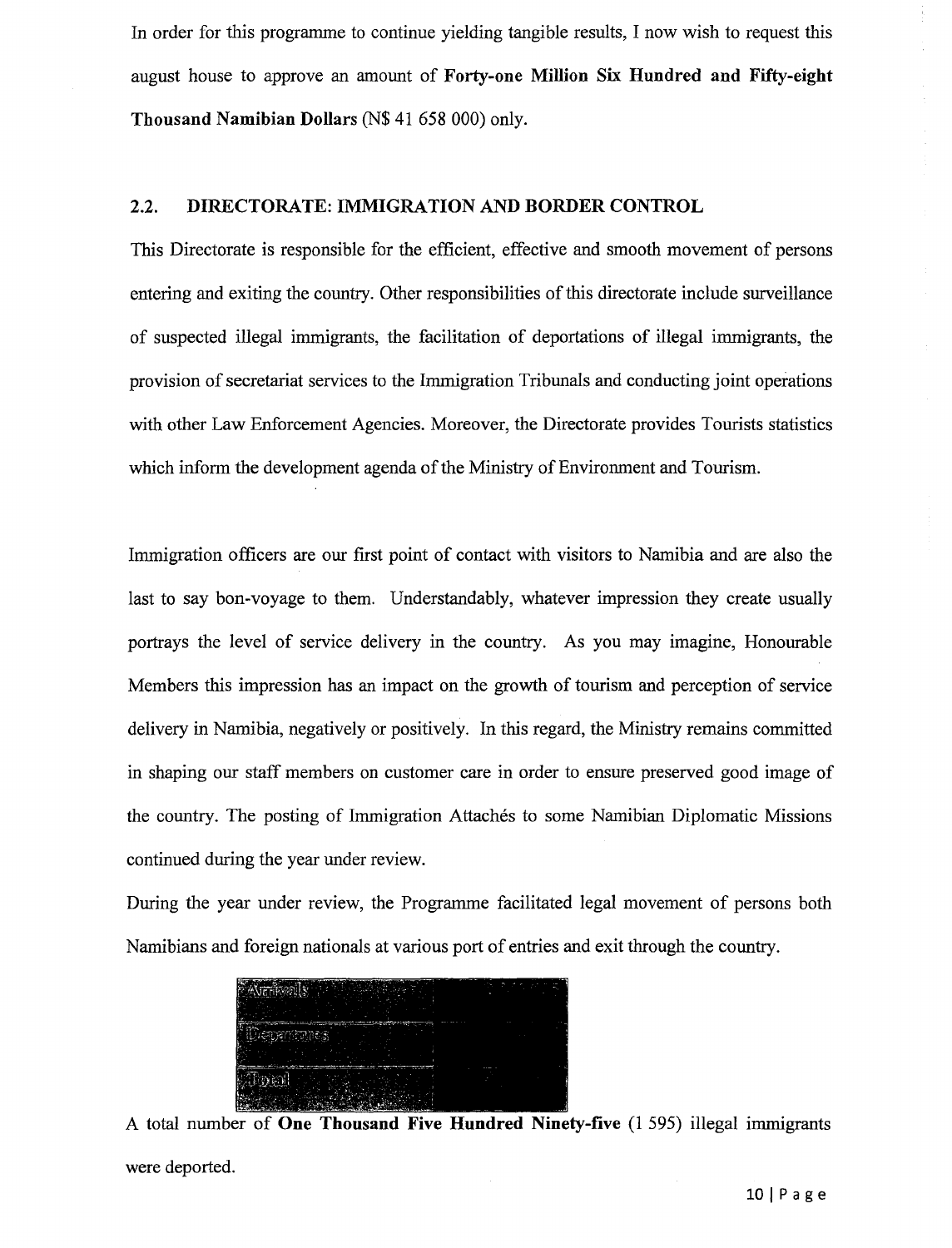In order for this programme to continue yielding tangible results, I now wish to request this august house to approve an amount of Forty-one Million Six Hundred and Fifty-eight Thousand Namibian Dollars (N\$ 41 658000) only.

#### 2.2. DIRECTORATE: IMMIGRATION AND BORDER CONTROL

This Directorate is responsible for the efficient, effective and smooth movement of persons entering and exiting the country. Other responsibilities of this directorate include surveillance of suspected illegal immigrants, the facilitation of deportations of illegal immigrants, the provision of secretariat services to the Immigration Tribunals and conducting joint operations with other Law Enforcement Agencies. Moreover, the Directorate provides Tourists statistics which inform the development agenda of the Ministry of Environment and Tourism.

Immigration officers are our first point of contact with visitors to Namibia and are also the last to say bon-voyage to them. Understandably, whatever impression they create usually portrays the level of service delivery in the country. As you may imagine, Honourable Members this impression has an impact on the growth of tourism and perception of service delivery in Namibia, negatively or positively. In this regard, the Ministry remains committed in shaping our staff members on customer care in order to ensure preserved good image of the country. The posting of Immigration Attachés to some Namibian Diplomatic Missions continued during the year under review.

During the year under review, the Programme facilitated legal movement of persons both Namibians and foreign nationals at various port of entries and exit through the country.

| and we have a few of the conditions of the following commences of<br>- 53<br>_______<br>______<br>--<br>70<br>$-$                                                                                                                    | ----- |  |
|--------------------------------------------------------------------------------------------------------------------------------------------------------------------------------------------------------------------------------------|-------|--|
| <u>and the contract of the contract of the contract of the contract of the contract of the contract of the contract of the contract of the contract of the contract of the contract of the contract of the contract of the contr</u> |       |  |
|                                                                                                                                                                                                                                      |       |  |

A total number of One Thousand Five Hundred Ninety-five (1 595) illegal immigrants were deported.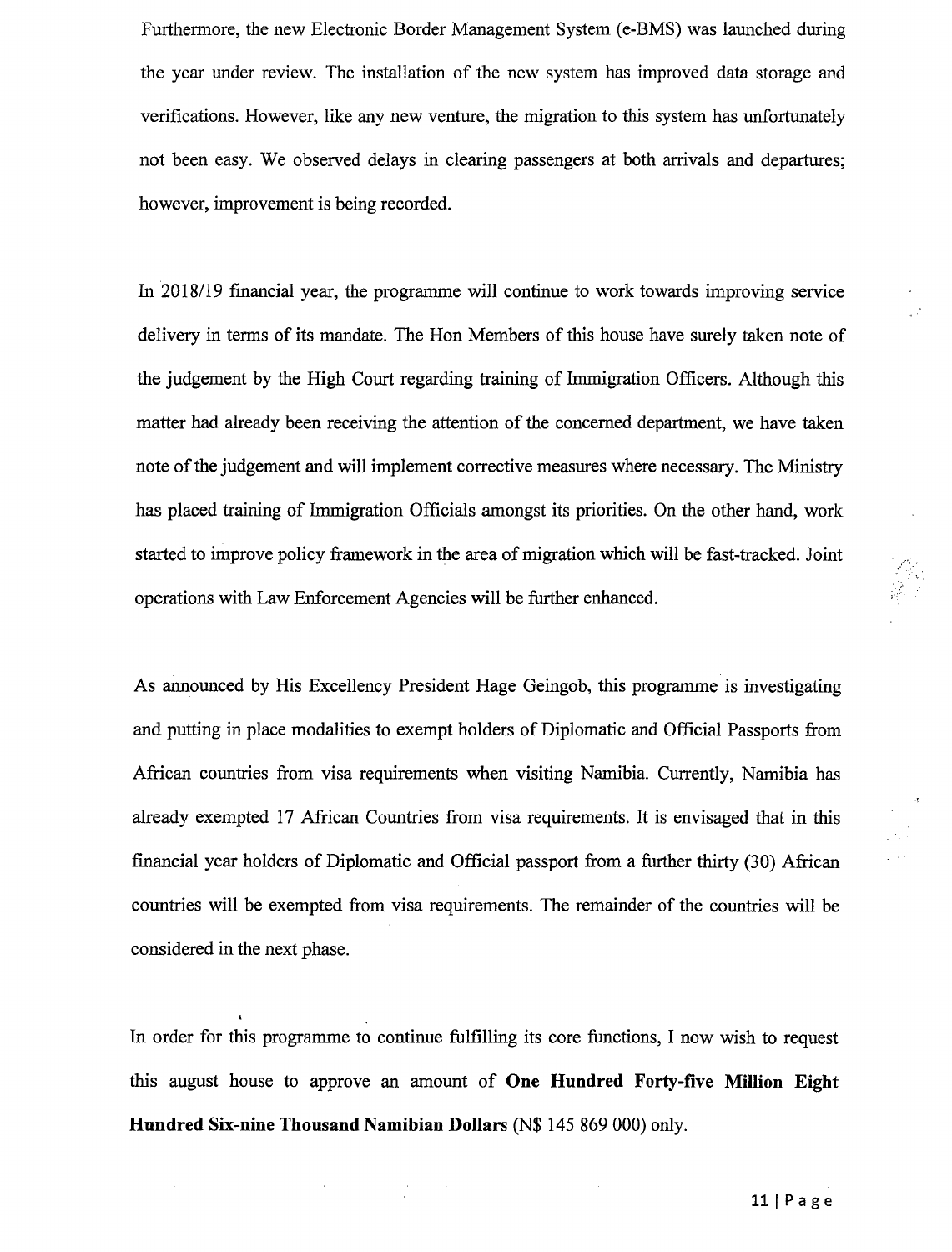Furthermore, the new Electronic Border Management System (e-BMS) was launched during the year under review. The installation of the new system has improved data storage and verifications. However, like any new venture, the migration to this system has unfortunately not been easy. We observed delays in clearing passengers at both arrivals and departures; however, improvement is being recorded.

In 2018119 fmancial year, the programme will continue to work towards improving service delivery in terms of its mandate. The Hon Members of this house have surely taken note of the judgement by the High Court regarding training of Immigration Officers. Although this matter had already been receiving the attention of the concerned department, we have taken note of the judgement and will implement corrective measures where necessary. The Ministry has placed training of Immigration Officials amongst its priorities. On the other hand, work started to improve policy framework in the area of migration which will be fast-tracked. Joint operations with Law Enforcement Agencies will be further enhanced.

As announced by His Excellency President Hage Geingob, this programme is investigating and putting in place modalities to exempt holders of Diplomatic and Official Passports from African countries from visa requirements when visiting Namibia. Currently, Namibia has already exempted 17 African Countries from visa requirements. It is envisaged that in this fmancial year holders of Diplomatic and Official passport from a further thirty (30) African countries will be exempted from visa requirements. The remainder of the countries will be considered in the next phase.

In order for this programme to continue fulfilling its core functions, I now wish to request this august house to approve an amount of **One Hundred Forty-five Million Eight Hundred Six-nine Thousand Namibian Dollars** (N\$ 145869000) only.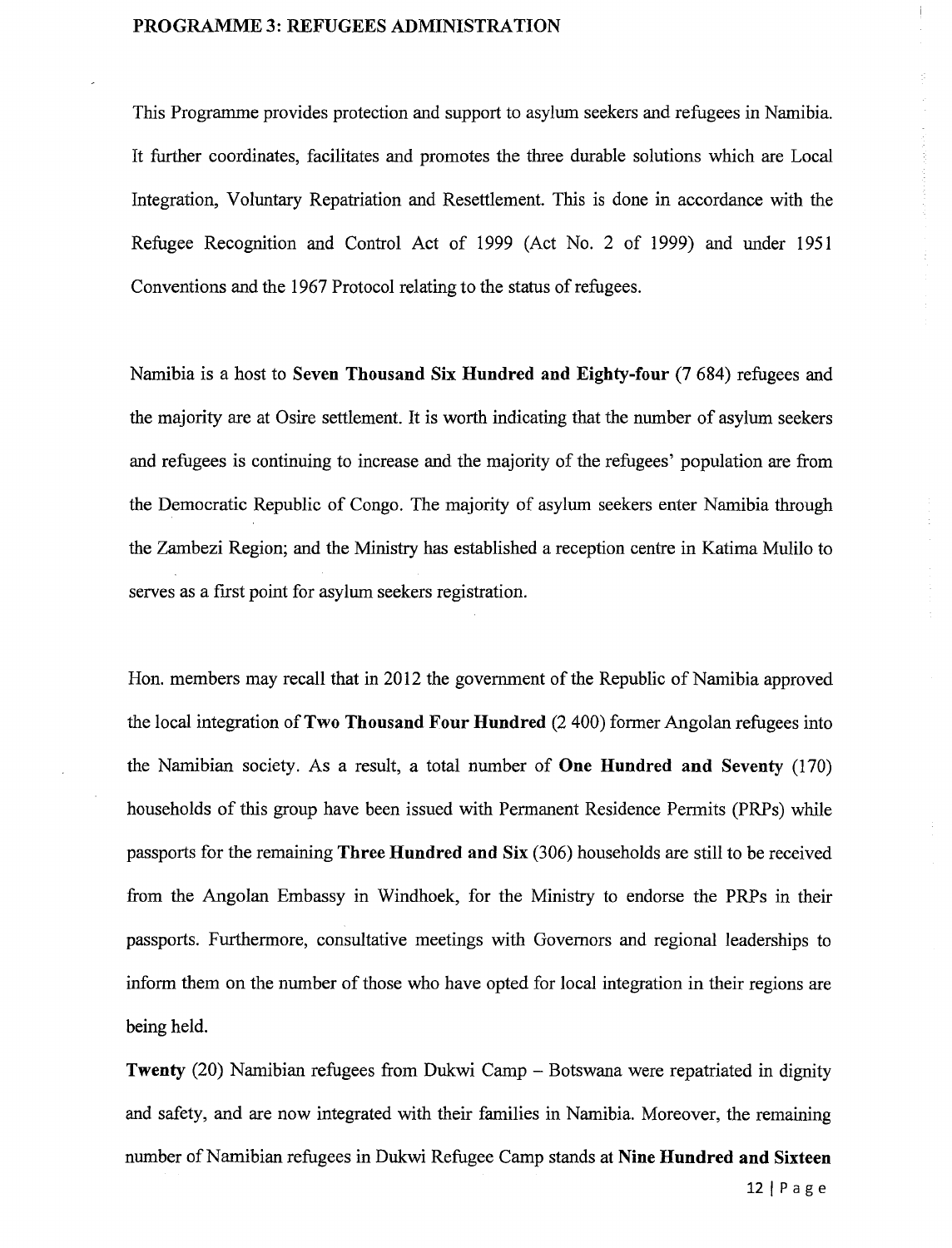#### PROGRAMME 3: REFUGEES ADMINISTRATION

This Programme provides protection and support to asylum seekers and refugees in Namibia. It further coordinates, facilitates and promotes the three durable solutions which are Local Integration, Voluntary Repatriation and Resettlement. This is done in accordance with the Refugee Recognition and Control Act of 1999 (Act No. 2 of 1999) and under 1951 Conventions and the 1967 Protocol relating to the status of refugees.

Namibia is a host to Seven Thousand Six Hundred and Eighty-four (7 684) refugees and the majority are at Osire settlement. It is worth indicating that the number of asylum seekers and refugees is continuing to increase and the majority of the refugees' population are from the Democratic Republic of Congo. The majority of asylum seekers enter Namibia through the Zambezi Region; and the Ministry has established a reception centre in Katima Mulilo to serves as a first point for asylum seekers registration.

Hon. members may recall that in 2012 the government of the Republic of Namibia approved the local integration of Two Thousand Four Hundred (2400) former Angolan refugees into the Namibian society. As a result, a total number of One Hundred and Seventy (170) households of this group have been issued with Permanent Residence Permits (PRPs) while passports for the remaining Three Hundred and Six (306) households are still to be received from the Angolan Embassy in Windhoek, for the Ministry to endorse the PRPs in their passports. Furthermore, consultative meetings with Governors and regional leaderships to inform them on the number of those who have opted for local integration in their regions are being held.

Twenty (20) Namibian refugees from Dukwi Camp – Botswana were repatriated in dignity and safety, and are now integrated with their families in Namibia. Moreover, the remaining number of Namibian refugees in Dukwi Refugee Camp stands at Nine Hundred and Sixteen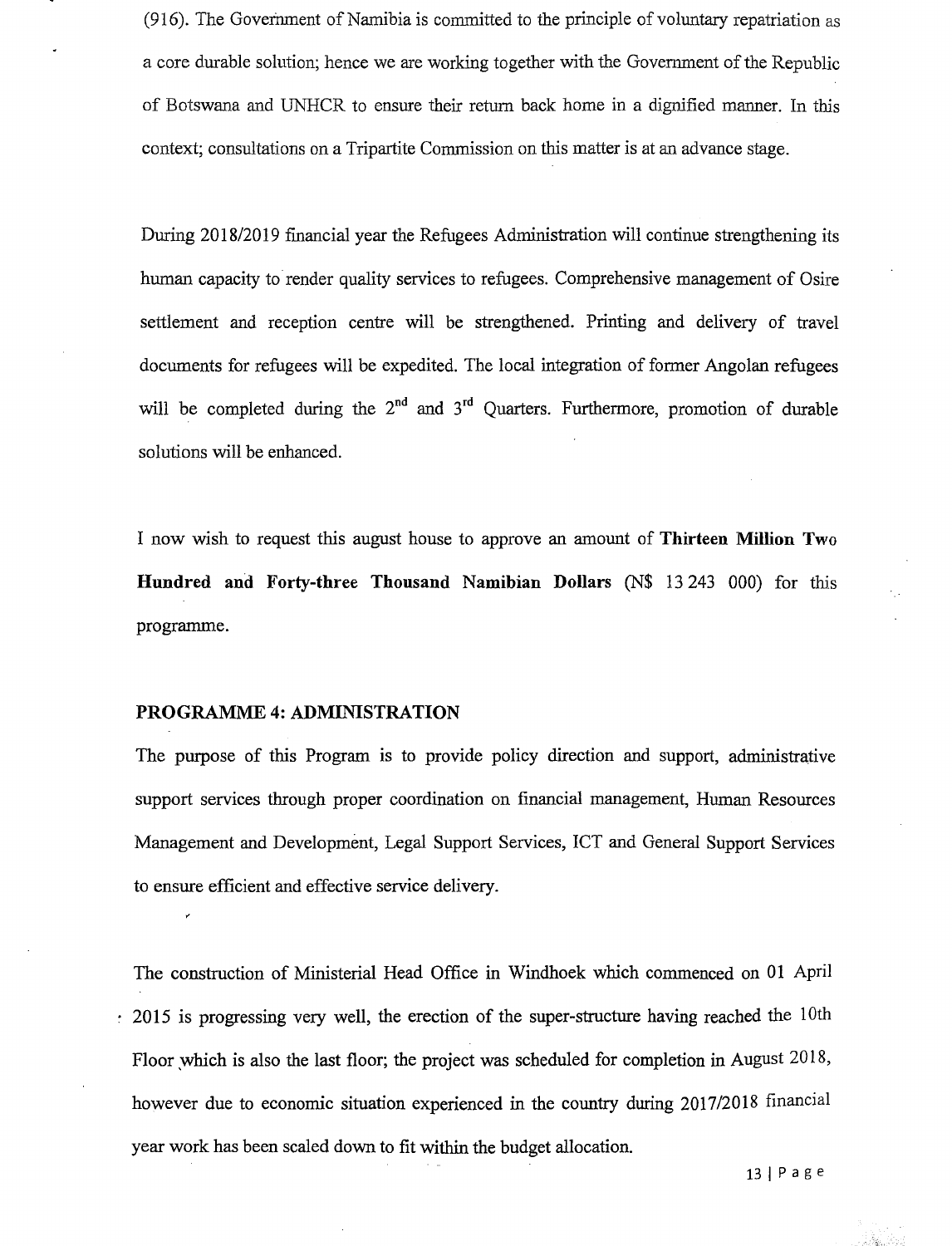(916). The Government of Namibia is committed to the principle of voluntary repatriation as a core durable solution; hence we are working together with the Government of the Republic of Botswana and UNHCR to ensure their return back home in a dignified manner. In this context; consultations on a Tripartite Commission on this matter is at an advance stage.

During 2018/2019 financial year the Refugees Administration will continue strengthening its human capacity to render quality services to refugees. Comprehensive management of Osire settlement and reception centre will be strengthened. Printing and delivery of travel documents for refugees will be expedited. The local integration of former Angolan refugees will be completed during the  $2<sup>nd</sup>$  and  $3<sup>rd</sup>$  Quarters. Furthermore, promotion of durable solutions will be enhanced.

I now wish to request this august house to approve an amount of **Thirteen Million Two Hundred and Forty-three Thousand Namibian Dollars** (N\$ 13 243 000) for this programme.

#### **PROGRAMME 4: ADMINISTRATION**

The purpose of this Program is to provide policy direction and support, administrative support services through proper coordination on financial management, Human Resources Management and Development, Legal Support Services, ICT and General Support Services to ensure efficient and effective service delivery.

The construction of Ministerial Head Office in Windhoek which commenced on 01 April  $\approx$  2015 is progressing very well, the erection of the super-structure having reached the 10th Floor which is also the last floor; the project was scheduled for completion in August 2018, however due to economic situation experienced in the country during *2017/2018* financial year work has been scaled down to fit within the budget allocation.

13 I P age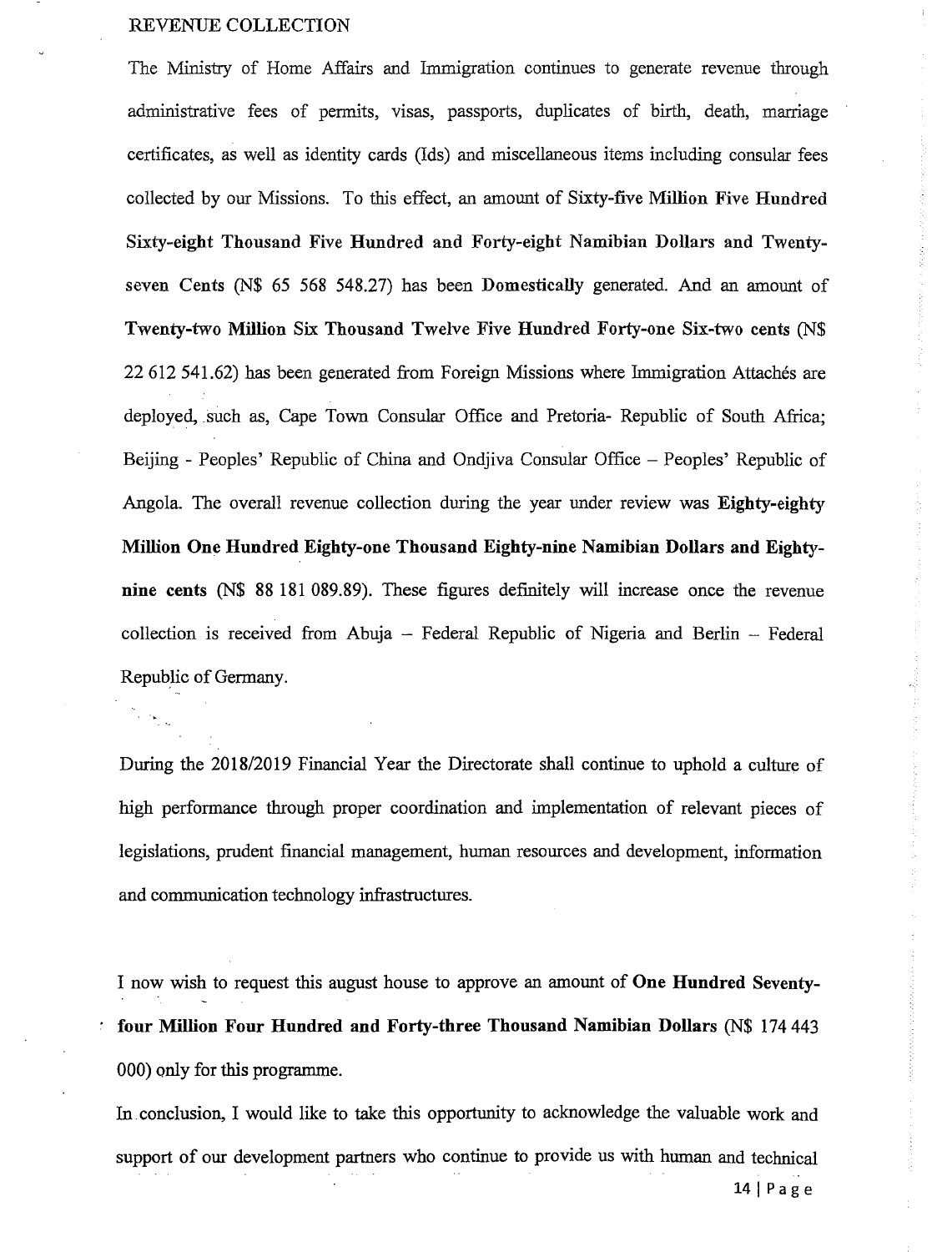#### REVENUE COLLECTION

The Ministry of Home Affairs and Immigration continues to generate revenue through administrative fees of permits, visas, passports, duplicates of birth, death, marriage certificates, as well as identity cards (Ids) and miscellaneous items including consular fees collected by our Missions. To this effect, an amount of Sixty-five Million Five Hundred Sixty-eight Thousand Five Hundred and Forty-eight Namibian Dollars and Twentyseven Cents (N\$ 65 568 548.27) has been Domestically generated. And an amount of Twenty-two Million Six Thousand Twelve Five Hundred Forty-one Six-two cents (N\$ 22612541.62) has been generated from Foreign Missions where Immigration Attaches are deployed, such as, Cape Town Consular Office and Pretoria- Republic of South Africa; Beijing - Peoples' Republic of China and Ondjiva Consular Office – Peoples' Republic of Angola. The overall revenue collection during the year under review was Eighty-eighty Million One Hundred Eighty-one Thousand Eighty-nine Namibian Dollars and Eightynine cents (N\$ 88 181 089.89). These figures definitely will increase once the revenue collection is received from Abuja - Federal Republic of Nigeria and Berlin - Federal Republic of Germany.

During the *2018/2019* Financial Year the Directorate shall continue to uphold a culture of high performance through proper coordination and implementation of relevant pieces of legislations, prudent financial management, human resources and development, information and communication technology infrastructures.

I now wish to request this august house to approve an amount of One Hundred Seventyfour Million Four Hundred and Forty-three Thousand Namibian Dollars (N\$ 174443 000) only for this programme.

In. conclusion, I would like to take this opportunity to acknowledge the valuable work and support of our development partners who continue to provide us with human and technical 14 | Page